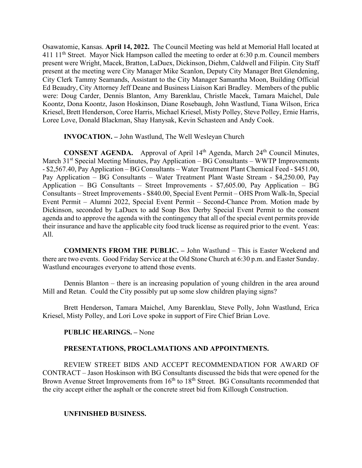Osawatomie, Kansas. **April 14, 2022.** The Council Meeting was held at Memorial Hall located at 411  $11<sup>th</sup>$  Street. Mayor Nick Hampson called the meeting to order at 6:30 p.m. Council members present were Wright, Macek, Bratton, LaDuex, Dickinson, Diehm, Caldwell and Filipin. City Staff present at the meeting were City Manager Mike Scanlon, Deputy City Manager Bret Glendening, City Clerk Tammy Seamands, Assistant to the City Manager Samantha Moon, Building Official Ed Beaudry, City Attorney Jeff Deane and Business Liaison Kari Bradley. Members of the public were: Doug Carder, Dennis Blanton, Amy Barenklau, Christle Macek, Tamara Maichel, Dale Koontz, Dona Koontz, Jason Hoskinson, Diane Rosebaugh, John Wastlund, Tiana Wilson, Erica Kriesel, Brett Henderson, Coree Harris, Michael Kriesel, Misty Polley, Steve Polley, Ernie Harris, Loree Love, Donald Blackman, Shay Hanysak, Kevin Schasteen and Andy Cook.

**INVOCATION. –** John Wastlund, The Well Wesleyan Church

**CONSENT AGENDA.** Approval of April 14<sup>th</sup> Agenda, March 24<sup>th</sup> Council Minutes, March  $31<sup>st</sup>$  Special Meeting Minutes, Pay Application – BG Consultants – WWTP Improvements - \$2,567.40, Pay Application – BG Consultants – Water Treatment Plant Chemical Feed - \$451.00, Pay Application – BG Consultants – Water Treatment Plant Waste Stream - \$4,250.00, Pay Application – BG Consultants – Street Improvements - \$7,605.00, Pay Application – BG Consultants – Street Improvements - \$840.00, Special Event Permit – OHS Prom Walk-In, Special Event Permit – Alumni 2022, Special Event Permit – Second-Chance Prom. Motion made by Dickinson, seconded by LaDuex to add Soap Box Derby Special Event Permit to the consent agenda and to approve the agenda with the contingency that all of the special event permits provide their insurance and have the applicable city food truck license as required prior to the event. Yeas: All.

**COMMENTS FROM THE PUBLIC. –** John Wastlund – This is Easter Weekend and there are two events. Good Friday Service at the Old Stone Church at 6:30 p.m. and Easter Sunday. Wastlund encourages everyone to attend those events.

Dennis Blanton – there is an increasing population of young children in the area around Mill and Retan. Could the City possibly put up some slow children playing signs?

Brett Henderson, Tamara Maichel, Amy Barenklau, Steve Polly, John Wastlund, Erica Kriesel, Misty Polley, and Lori Love spoke in support of Fire Chief Brian Love.

## **PUBLIC HEARINGS. –** None

## **PRESENTATIONS, PROCLAMATIONS AND APPOINTMENTS.**

REVIEW STREET BIDS AND ACCEPT RECOMMENDATION FOR AWARD OF CONTRACT – Jason Hoskinson with BG Consultants discussed the bids that were opened for the Brown Avenue Street Improvements from  $16<sup>th</sup>$  to  $18<sup>th</sup>$  Street. BG Consultants recommended that the city accept either the asphalt or the concrete street bid from Killough Construction.

## **UNFINISHED BUSINESS.**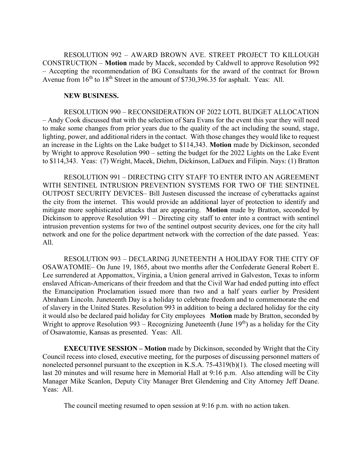RESOLUTION 992 – AWARD BROWN AVE. STREET PROJECT TO KILLOUGH CONSTRUCTION – **Motion** made by Macek, seconded by Caldwell to approve Resolution 992 – Accepting the recommendation of BG Consultants for the award of the contract for Brown Avenue from  $16<sup>th</sup>$  to  $18<sup>th</sup>$  Street in the amount of \$730,396.35 for asphalt. Yeas: All.

#### **NEW BUSINESS.**

RESOLUTION 990 – RECONSIDERATION OF 2022 LOTL BUDGET ALLOCATION – Andy Cook discussed that with the selection of Sara Evans for the event this year they will need to make some changes from prior years due to the quality of the act including the sound, stage, lighting, power, and additional riders in the contact. With those changes they would like to request an increase in the Lights on the Lake budget to \$114,343. **Motion** made by Dickinson, seconded by Wright to approve Resolution 990 – setting the budget for the 2022 Lights on the Lake Event to \$114,343. Yeas: (7) Wright, Macek, Diehm, Dickinson, LaDuex and Filipin. Nays: (1) Bratton

RESOLUTION 991 – DIRECTING CITY STAFF TO ENTER INTO AN AGREEMENT WITH SENTINEL INTRUSION PREVENTION SYSTEMS FOR TWO OF THE SENTINEL OUTPOST SECURITY DEVICES– Bill Justesen discussed the increase of cyberattacks against the city from the internet. This would provide an additional layer of protection to identify and mitigate more sophisticated attacks that are appearing. **Motion** made by Bratton, seconded by Dickinson to approve Resolution 991 – Directing city staff to enter into a contract with sentinel intrusion prevention systems for two of the sentinel outpost security devices, one for the city hall network and one for the police department network with the correction of the date passed. Yeas: All.

RESOLUTION 993 – DECLARING JUNETEENTH A HOLIDAY FOR THE CITY OF OSAWATOMIE– On June 19, 1865, about two months after the Confederate General Robert E. Lee surrendered at Appomattox, Virginia, a Union general arrived in Galveston, Texas to inform enslaved African-Americans of their freedom and that the Civil War had ended putting into effect the Emancipation Proclamation issued more than two and a half years earlier by President Abraham Lincoln. Juneteenth Day is a holiday to celebrate freedom and to commemorate the end of slavery in the United States. Resolution 993 in addition to being a declared holiday for the city it would also be declared paid holiday for City employees **Motion** made by Bratton, seconded by Wright to approve Resolution 993 – Recognizing Juneteenth (June  $19<sup>th</sup>$ ) as a holiday for the City of Osawatomie, Kansas as presented. Yeas: All.

**EXECUTIVE SESSION – Motion** made by Dickinson, seconded by Wright that the City Council recess into closed, executive meeting, for the purposes of discussing personnel matters of nonelected personnel pursuant to the exception in K.S.A. 75-4319(b)(1). The closed meeting will last 20 minutes and will resume here in Memorial Hall at 9:16 p.m. Also attending will be City Manager Mike Scanlon, Deputy City Manager Bret Glendening and City Attorney Jeff Deane. Yeas: All.

The council meeting resumed to open session at 9:16 p.m. with no action taken.